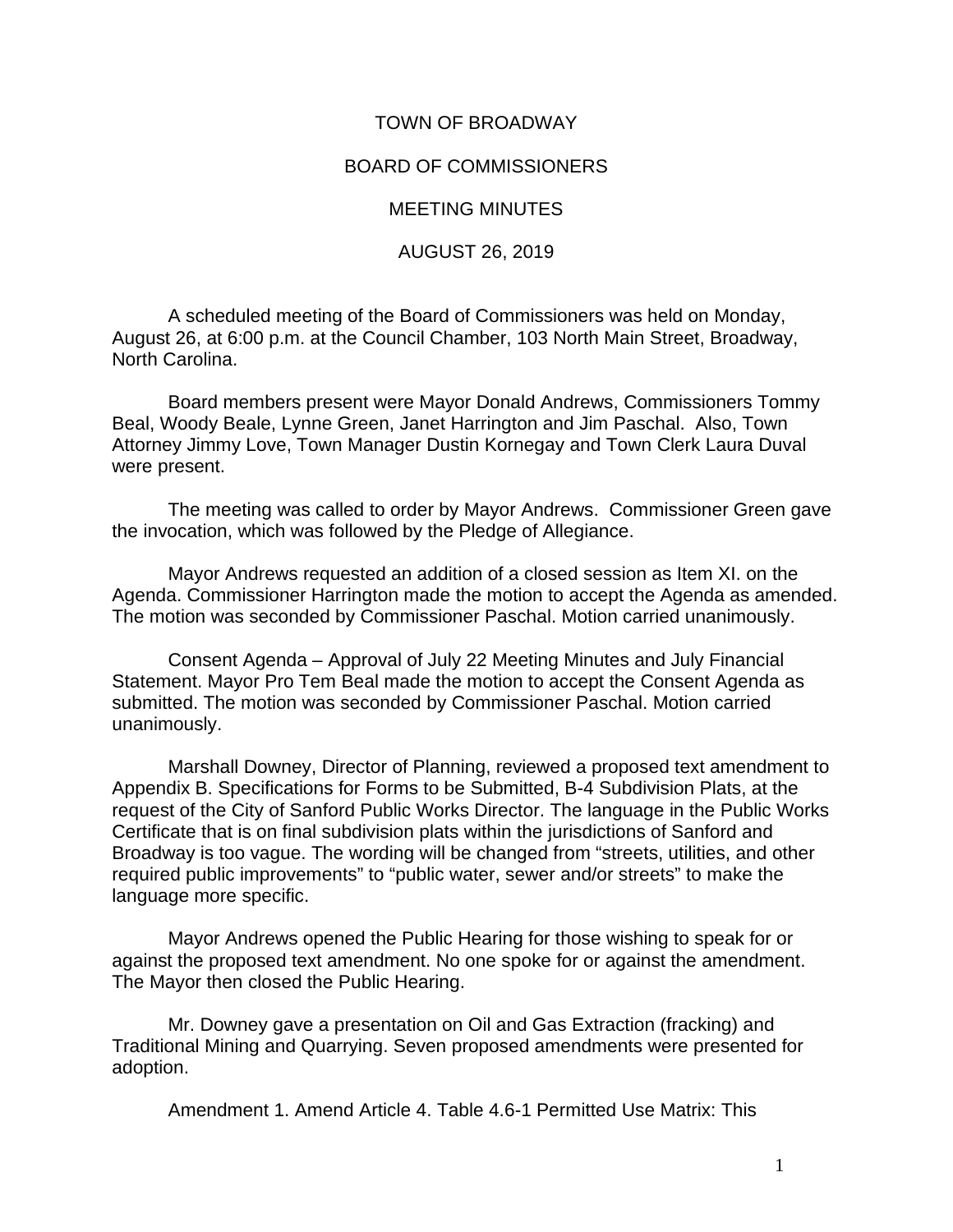## TOWN OF BROADWAY

## BOARD OF COMMISSIONERS

MEETING MINUTES

AUGUST 26, 2019

A scheduled meeting of the Board of Commissioners was held on Monday, August 26, at 6:00 p.m. at the Council Chamber, 103 North Main Street, Broadway, North Carolina.

Board members present were Mayor Donald Andrews, Commissioners Tommy Beal, Woody Beale, Lynne Green, Janet Harrington and Jim Paschal. Also, Town Attorney Jimmy Love, Town Manager Dustin Kornegay and Town Clerk Laura Duval were present.

The meeting was called to order by Mayor Andrews. Commissioner Green gave the invocation, which was followed by the Pledge of Allegiance.

Mayor Andrews requested an addition of a closed session as Item XI. on the Agenda. Commissioner Harrington made the motion to accept the Agenda as amended. The motion was seconded by Commissioner Paschal. Motion carried unanimously.

Consent Agenda – Approval of July 22 Meeting Minutes and July Financial Statement. Mayor Pro Tem Beal made the motion to accept the Consent Agenda as submitted. The motion was seconded by Commissioner Paschal. Motion carried unanimously.

Marshall Downey, Director of Planning, reviewed a proposed text amendment to Appendix B. Specifications for Forms to be Submitted, B-4 Subdivision Plats, at the request of the City of Sanford Public Works Director. The language in the Public Works Certificate that is on final subdivision plats within the jurisdictions of Sanford and Broadway is too vague. The wording will be changed from "streets, utilities, and other required public improvements" to "public water, sewer and/or streets" to make the language more specific.

Mayor Andrews opened the Public Hearing for those wishing to speak for or against the proposed text amendment. No one spoke for or against the amendment. The Mayor then closed the Public Hearing.

Mr. Downey gave a presentation on Oil and Gas Extraction (fracking) and Traditional Mining and Quarrying. Seven proposed amendments were presented for adoption.

Amendment 1. Amend Article 4. Table 4.6-1 Permitted Use Matrix: This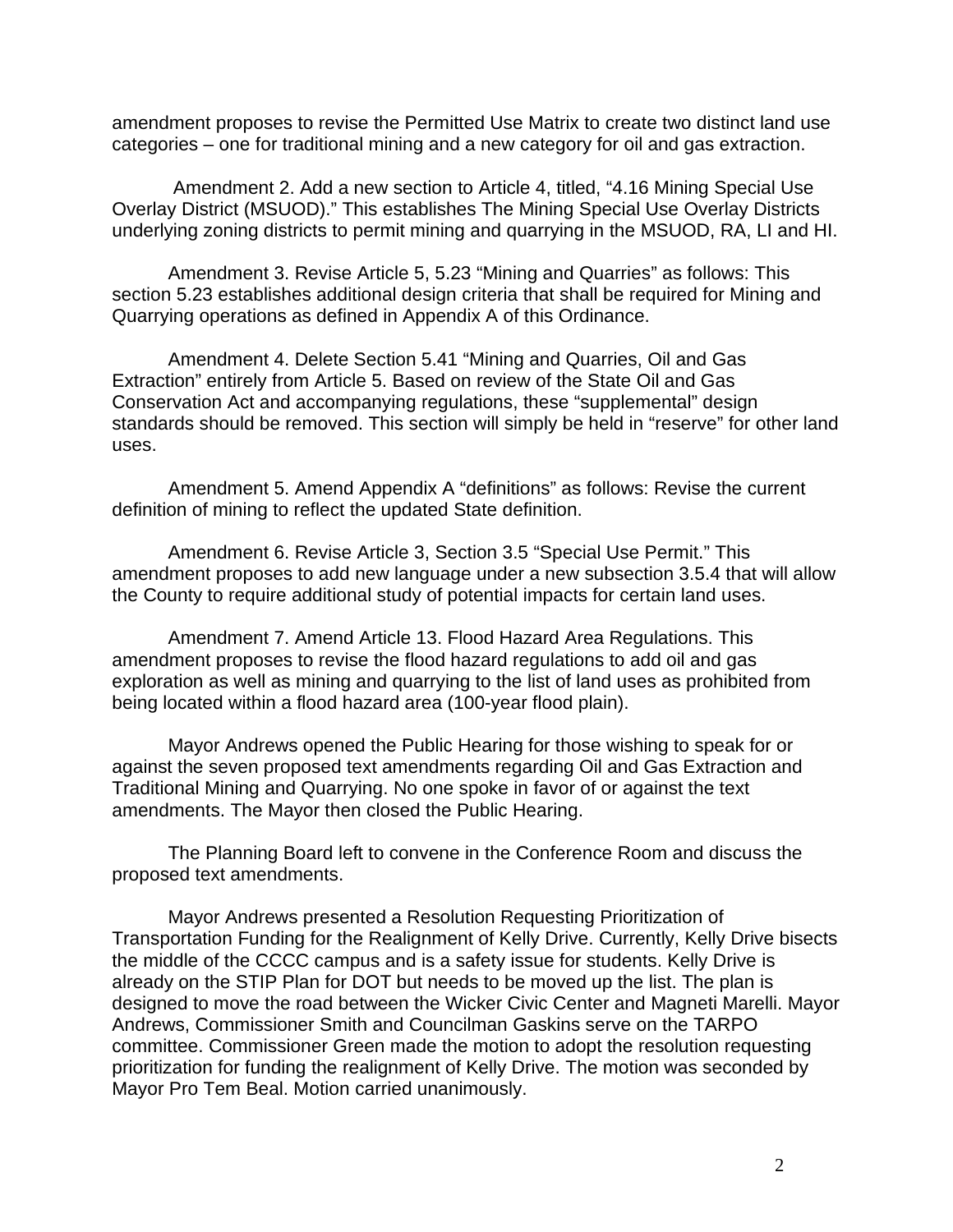amendment proposes to revise the Permitted Use Matrix to create two distinct land use categories – one for traditional mining and a new category for oil and gas extraction.

Amendment 2. Add a new section to Article 4, titled, "4.16 Mining Special Use Overlay District (MSUOD)." This establishes The Mining Special Use Overlay Districts underlying zoning districts to permit mining and quarrying in the MSUOD, RA, LI and HI.

Amendment 3. Revise Article 5, 5.23 "Mining and Quarries" as follows: This section 5.23 establishes additional design criteria that shall be required for Mining and Quarrying operations as defined in Appendix A of this Ordinance.

Amendment 4. Delete Section 5.41 "Mining and Quarries, Oil and Gas Extraction" entirely from Article 5. Based on review of the State Oil and Gas Conservation Act and accompanying regulations, these "supplemental" design standards should be removed. This section will simply be held in "reserve" for other land uses.

Amendment 5. Amend Appendix A "definitions" as follows: Revise the current definition of mining to reflect the updated State definition.

Amendment 6. Revise Article 3, Section 3.5 "Special Use Permit." This amendment proposes to add new language under a new subsection 3.5.4 that will allow the County to require additional study of potential impacts for certain land uses.

Amendment 7. Amend Article 13. Flood Hazard Area Regulations. This amendment proposes to revise the flood hazard regulations to add oil and gas exploration as well as mining and quarrying to the list of land uses as prohibited from being located within a flood hazard area (100-year flood plain).

Mayor Andrews opened the Public Hearing for those wishing to speak for or against the seven proposed text amendments regarding Oil and Gas Extraction and Traditional Mining and Quarrying. No one spoke in favor of or against the text amendments. The Mayor then closed the Public Hearing.

The Planning Board left to convene in the Conference Room and discuss the proposed text amendments.

Mayor Andrews presented a Resolution Requesting Prioritization of Transportation Funding for the Realignment of Kelly Drive. Currently, Kelly Drive bisects the middle of the CCCC campus and is a safety issue for students. Kelly Drive is already on the STIP Plan for DOT but needs to be moved up the list. The plan is designed to move the road between the Wicker Civic Center and Magneti Marelli. Mayor Andrews, Commissioner Smith and Councilman Gaskins serve on the TARPO committee. Commissioner Green made the motion to adopt the resolution requesting prioritization for funding the realignment of Kelly Drive. The motion was seconded by Mayor Pro Tem Beal. Motion carried unanimously.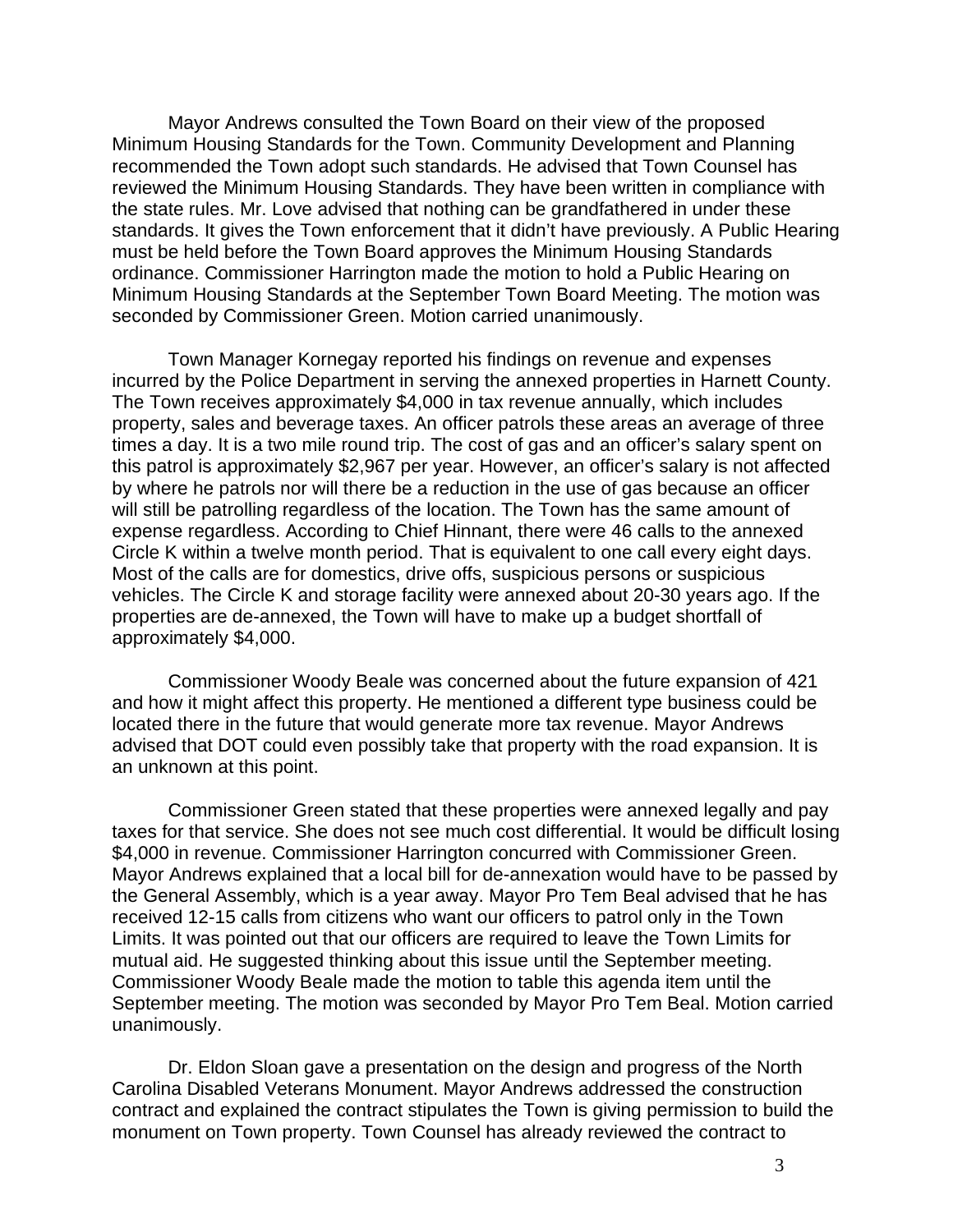Mayor Andrews consulted the Town Board on their view of the proposed Minimum Housing Standards for the Town. Community Development and Planning recommended the Town adopt such standards. He advised that Town Counsel has reviewed the Minimum Housing Standards. They have been written in compliance with the state rules. Mr. Love advised that nothing can be grandfathered in under these standards. It gives the Town enforcement that it didn't have previously. A Public Hearing must be held before the Town Board approves the Minimum Housing Standards ordinance. Commissioner Harrington made the motion to hold a Public Hearing on Minimum Housing Standards at the September Town Board Meeting. The motion was seconded by Commissioner Green. Motion carried unanimously.

Town Manager Kornegay reported his findings on revenue and expenses incurred by the Police Department in serving the annexed properties in Harnett County. The Town receives approximately \$4,000 in tax revenue annually, which includes property, sales and beverage taxes. An officer patrols these areas an average of three times a day. It is a two mile round trip. The cost of gas and an officer's salary spent on this patrol is approximately \$2,967 per year. However, an officer's salary is not affected by where he patrols nor will there be a reduction in the use of gas because an officer will still be patrolling regardless of the location. The Town has the same amount of expense regardless. According to Chief Hinnant, there were 46 calls to the annexed Circle K within a twelve month period. That is equivalent to one call every eight days. Most of the calls are for domestics, drive offs, suspicious persons or suspicious vehicles. The Circle K and storage facility were annexed about 20-30 years ago. If the properties are de-annexed, the Town will have to make up a budget shortfall of approximately \$4,000.

Commissioner Woody Beale was concerned about the future expansion of 421 and how it might affect this property. He mentioned a different type business could be located there in the future that would generate more tax revenue. Mayor Andrews advised that DOT could even possibly take that property with the road expansion. It is an unknown at this point.

Commissioner Green stated that these properties were annexed legally and pay taxes for that service. She does not see much cost differential. It would be difficult losing \$4,000 in revenue. Commissioner Harrington concurred with Commissioner Green. Mayor Andrews explained that a local bill for de-annexation would have to be passed by the General Assembly, which is a year away. Mayor Pro Tem Beal advised that he has received 12-15 calls from citizens who want our officers to patrol only in the Town Limits. It was pointed out that our officers are required to leave the Town Limits for mutual aid. He suggested thinking about this issue until the September meeting. Commissioner Woody Beale made the motion to table this agenda item until the September meeting. The motion was seconded by Mayor Pro Tem Beal. Motion carried unanimously.

Dr. Eldon Sloan gave a presentation on the design and progress of the North Carolina Disabled Veterans Monument. Mayor Andrews addressed the construction contract and explained the contract stipulates the Town is giving permission to build the monument on Town property. Town Counsel has already reviewed the contract to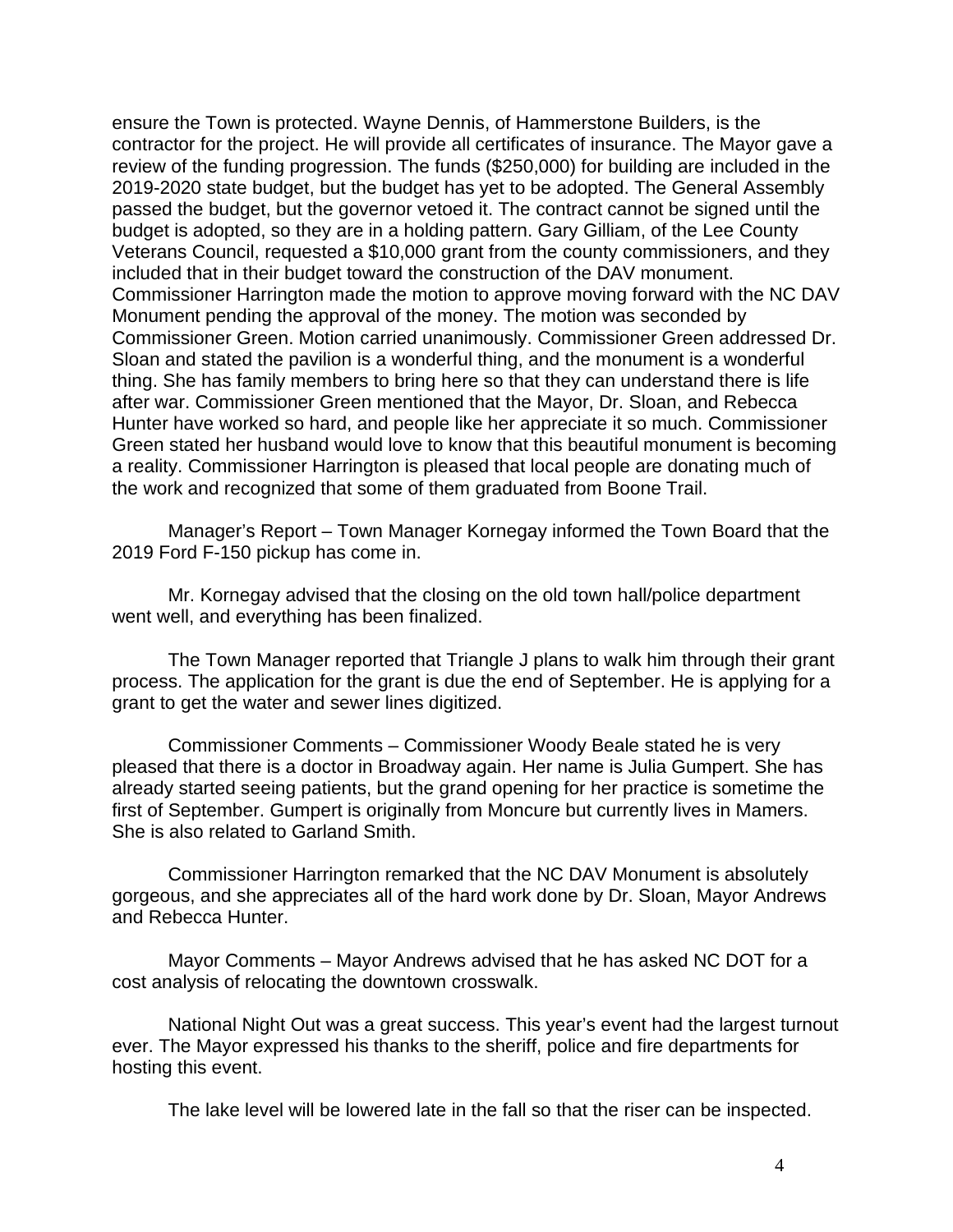ensure the Town is protected. Wayne Dennis, of Hammerstone Builders, is the contractor for the project. He will provide all certificates of insurance. The Mayor gave a review of the funding progression. The funds (\$250,000) for building are included in the 2019-2020 state budget, but the budget has yet to be adopted. The General Assembly passed the budget, but the governor vetoed it. The contract cannot be signed until the budget is adopted, so they are in a holding pattern. Gary Gilliam, of the Lee County Veterans Council, requested a \$10,000 grant from the county commissioners, and they included that in their budget toward the construction of the DAV monument. Commissioner Harrington made the motion to approve moving forward with the NC DAV Monument pending the approval of the money. The motion was seconded by Commissioner Green. Motion carried unanimously. Commissioner Green addressed Dr. Sloan and stated the pavilion is a wonderful thing, and the monument is a wonderful thing. She has family members to bring here so that they can understand there is life after war. Commissioner Green mentioned that the Mayor, Dr. Sloan, and Rebecca Hunter have worked so hard, and people like her appreciate it so much. Commissioner Green stated her husband would love to know that this beautiful monument is becoming a reality. Commissioner Harrington is pleased that local people are donating much of the work and recognized that some of them graduated from Boone Trail.

Manager's Report – Town Manager Kornegay informed the Town Board that the 2019 Ford F-150 pickup has come in.

Mr. Kornegay advised that the closing on the old town hall/police department went well, and everything has been finalized.

The Town Manager reported that Triangle J plans to walk him through their grant process. The application for the grant is due the end of September. He is applying for a grant to get the water and sewer lines digitized.

Commissioner Comments – Commissioner Woody Beale stated he is very pleased that there is a doctor in Broadway again. Her name is Julia Gumpert. She has already started seeing patients, but the grand opening for her practice is sometime the first of September. Gumpert is originally from Moncure but currently lives in Mamers. She is also related to Garland Smith.

Commissioner Harrington remarked that the NC DAV Monument is absolutely gorgeous, and she appreciates all of the hard work done by Dr. Sloan, Mayor Andrews and Rebecca Hunter.

Mayor Comments – Mayor Andrews advised that he has asked NC DOT for a cost analysis of relocating the downtown crosswalk.

National Night Out was a great success. This year's event had the largest turnout ever. The Mayor expressed his thanks to the sheriff, police and fire departments for hosting this event.

The lake level will be lowered late in the fall so that the riser can be inspected.